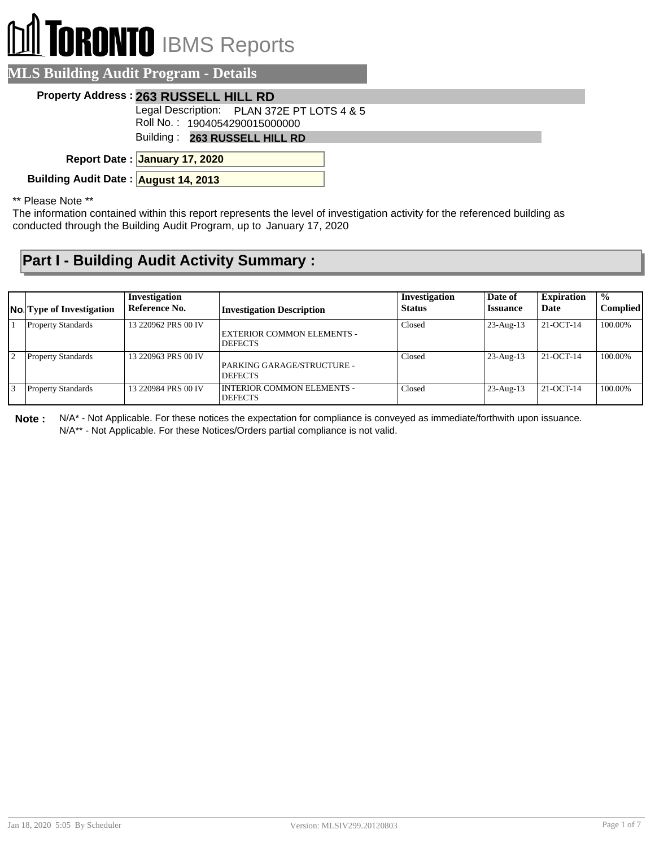## **ORONTO** IBMS Reports

| <b>MLS Building Audit Program - Details</b>                                 |  |
|-----------------------------------------------------------------------------|--|
| Property Address: 263 RUSSELL HILL RD                                       |  |
| Legal Description: PLAN 372E PT LOTS 4 & 5<br>Roll No.: 1904054290015000000 |  |
| Building: 263 RUSSELL HILL RD                                               |  |
| Report Date: January 17, 2020                                               |  |
| Building Audit Date: August 14, 2013                                        |  |

\*\* Please Note \*\*

The information contained within this report represents the level of investigation activity for the referenced building as conducted through the Building Audit Program, up to January 17, 2020

## **Part I - Building Audit Activity Summary :**

|                | <b>No.</b> Type of Investigation | Investigation<br>Reference No. | <b>Investigation Description</b>                    | Investigation<br><b>Status</b> | Date of<br><b>Issuance</b> | <b>Expiration</b><br>Date | $\frac{0}{0}$<br><b>Complied</b> |
|----------------|----------------------------------|--------------------------------|-----------------------------------------------------|--------------------------------|----------------------------|---------------------------|----------------------------------|
|                | <b>Property Standards</b>        | 13 220962 PRS 00 IV            | EXTERIOR COMMON ELEMENTS -<br><b>DEFECTS</b>        | Closed                         | $23$ -Aug-13               | 21-OCT-14                 | 100.00%                          |
| $\overline{2}$ | <b>Property Standards</b>        | 13 220963 PRS 00 IV            | PARKING GARAGE/STRUCTURE -<br><b>DEFECTS</b>        | Closed                         | $23$ -Aug-13               | 21-OCT-14                 | 100.00%                          |
|                | <b>Property Standards</b>        | 13 220984 PRS 00 IV            | <b>INTERIOR COMMON ELEMENTS -</b><br><b>DEFECTS</b> | Closed                         | $23$ -Aug-13               | 21-OCT-14                 | 100.00%                          |

**Note :** N/A\* - Not Applicable. For these notices the expectation for compliance is conveyed as immediate/forthwith upon issuance. N/A\*\* - Not Applicable. For these Notices/Orders partial compliance is not valid.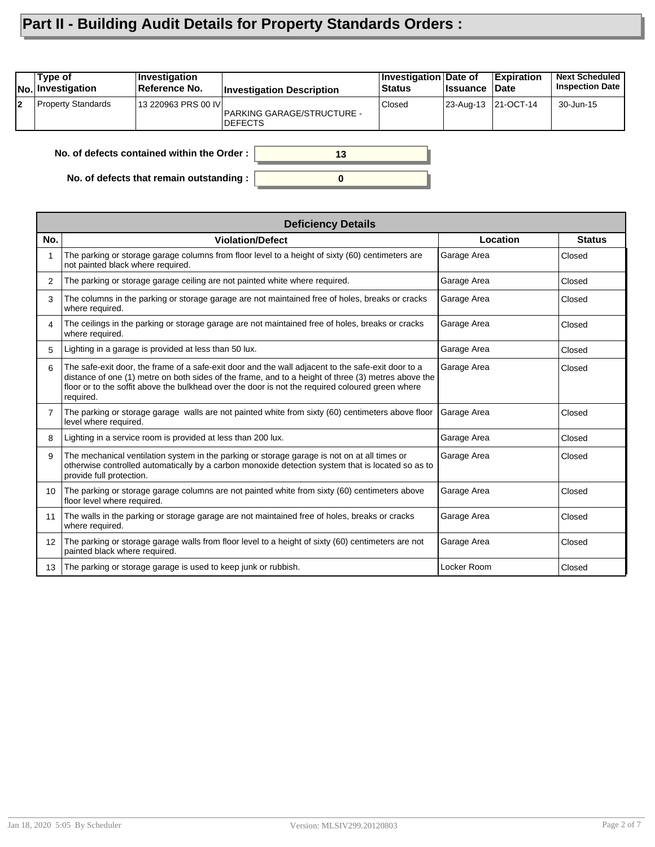## **Part II - Building Audit Details for Property Standards Orders :**

|    | Type of<br>No. Investigation                     | <b>Investigation</b><br>Reference No. | <b>Investigation Description</b>                    | Investigation Date of<br><b>Status</b> | <b>∣Issuance</b> | Expiration<br><b>Date</b> | <b>Next Scheduled</b><br><b>Inspection Date</b> |
|----|--------------------------------------------------|---------------------------------------|-----------------------------------------------------|----------------------------------------|------------------|---------------------------|-------------------------------------------------|
| 12 | <b>Property Standards</b>                        | 13 220963 PRS 00 IVI                  | <b>PARKING GARAGE/STRUCTURE -</b><br><b>DEFECTS</b> | Closed                                 |                  | 23-Aug-13 21-OCT-14       | 30-Jun-15                                       |
|    | No. of defects contained within the Order:<br>13 |                                       |                                                     |                                        |                  |                           |                                                 |

**0**

**No. of defects contained within the Order :**

**No. of defects that remain outstanding :**

|                   | <b>Deficiency Details</b>                                                                                                                                                                                                                                                                                                  |             |               |  |  |  |  |
|-------------------|----------------------------------------------------------------------------------------------------------------------------------------------------------------------------------------------------------------------------------------------------------------------------------------------------------------------------|-------------|---------------|--|--|--|--|
| No.               | <b>Violation/Defect</b>                                                                                                                                                                                                                                                                                                    | Location    | <b>Status</b> |  |  |  |  |
|                   | The parking or storage garage columns from floor level to a height of sixty (60) centimeters are<br>not painted black where required.                                                                                                                                                                                      | Garage Area | Closed        |  |  |  |  |
| 2                 | The parking or storage garage ceiling are not painted white where required.                                                                                                                                                                                                                                                | Garage Area | Closed        |  |  |  |  |
| 3                 | The columns in the parking or storage garage are not maintained free of holes, breaks or cracks<br>where required.                                                                                                                                                                                                         | Garage Area | Closed        |  |  |  |  |
| 4                 | The ceilings in the parking or storage garage are not maintained free of holes, breaks or cracks<br>where required.                                                                                                                                                                                                        | Garage Area | Closed        |  |  |  |  |
| 5                 | Lighting in a garage is provided at less than 50 lux.                                                                                                                                                                                                                                                                      | Garage Area | Closed        |  |  |  |  |
| 6                 | The safe-exit door, the frame of a safe-exit door and the wall adjacent to the safe-exit door to a<br>distance of one (1) metre on both sides of the frame, and to a height of three (3) metres above the<br>floor or to the soffit above the bulkhead over the door is not the required coloured green where<br>required. | Garage Area | Closed        |  |  |  |  |
| 7                 | The parking or storage garage walls are not painted white from sixty (60) centimeters above floor<br>level where required.                                                                                                                                                                                                 | Garage Area | Closed        |  |  |  |  |
| 8                 | Lighting in a service room is provided at less than 200 lux.                                                                                                                                                                                                                                                               | Garage Area | Closed        |  |  |  |  |
| 9                 | The mechanical ventilation system in the parking or storage garage is not on at all times or<br>otherwise controlled automatically by a carbon monoxide detection system that is located so as to<br>provide full protection.                                                                                              | Garage Area | Closed        |  |  |  |  |
| 10                | The parking or storage garage columns are not painted white from sixty (60) centimeters above<br>floor level where required.                                                                                                                                                                                               | Garage Area | Closed        |  |  |  |  |
| 11                | The walls in the parking or storage garage are not maintained free of holes, breaks or cracks<br>where required.                                                                                                                                                                                                           | Garage Area | Closed        |  |  |  |  |
| $12 \overline{ }$ | The parking or storage garage walls from floor level to a height of sixty (60) centimeters are not<br>painted black where required.                                                                                                                                                                                        | Garage Area | Closed        |  |  |  |  |
| 13                | The parking or storage garage is used to keep junk or rubbish.                                                                                                                                                                                                                                                             | Locker Room | Closed        |  |  |  |  |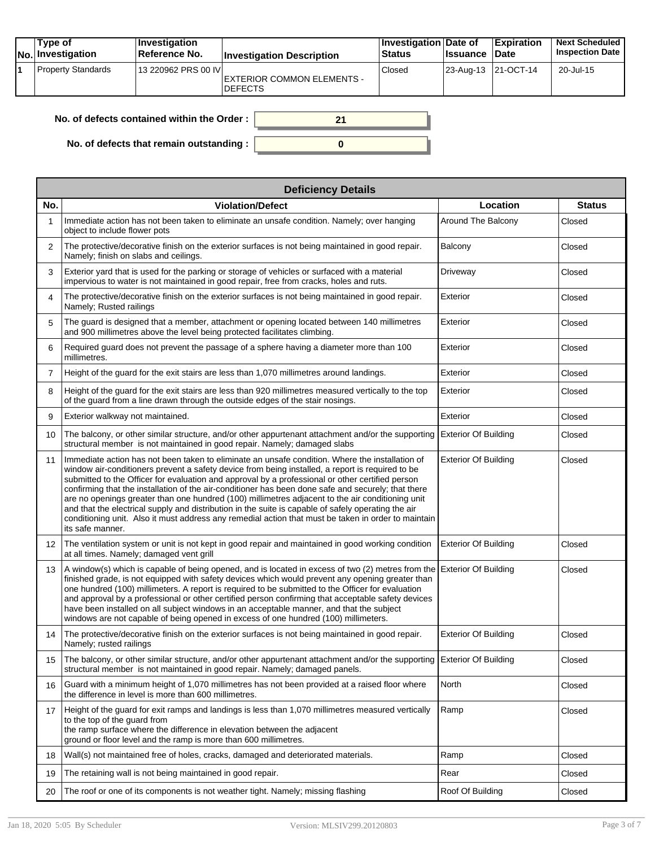| Type of<br>No. Investigation | <b>Investigation</b><br>Reference No. | <b>Investigation Description</b>                    | <b>Investigation Date of</b><br>Status | <b>Issuance</b> | <b>Expiration</b><br><b>Date</b> | <b>Next Scheduled</b><br><b>Inspection Date</b> |
|------------------------------|---------------------------------------|-----------------------------------------------------|----------------------------------------|-----------------|----------------------------------|-------------------------------------------------|
| <b>Property Standards</b>    | 13 220962 PRS 00 IVI                  | <b>EXTERIOR COMMON ELEMENTS -</b><br><b>DEFECTS</b> | Closed                                 |                 | $ 23 - Aug - 13 $ 21-OCT-14      | 20-Jul-15                                       |

| No. of defects contained within the Order :      |  |
|--------------------------------------------------|--|
| No. of defects that remain outstanding : $\vert$ |  |

|                | <b>Deficiency Details</b>                                                                                                                                                                                                                                                                                                                                                                                                                                                                                                                                                                                                                                                                                                                            |                             |               |  |  |  |  |  |  |
|----------------|------------------------------------------------------------------------------------------------------------------------------------------------------------------------------------------------------------------------------------------------------------------------------------------------------------------------------------------------------------------------------------------------------------------------------------------------------------------------------------------------------------------------------------------------------------------------------------------------------------------------------------------------------------------------------------------------------------------------------------------------------|-----------------------------|---------------|--|--|--|--|--|--|
| No.            | <b>Violation/Defect</b>                                                                                                                                                                                                                                                                                                                                                                                                                                                                                                                                                                                                                                                                                                                              | Location                    | <b>Status</b> |  |  |  |  |  |  |
| 1              | Immediate action has not been taken to eliminate an unsafe condition. Namely; over hanging<br>object to include flower pots                                                                                                                                                                                                                                                                                                                                                                                                                                                                                                                                                                                                                          | Around The Balcony          | Closed        |  |  |  |  |  |  |
| $\overline{2}$ | The protective/decorative finish on the exterior surfaces is not being maintained in good repair.<br>Namely; finish on slabs and ceilings.                                                                                                                                                                                                                                                                                                                                                                                                                                                                                                                                                                                                           | Balcony                     | Closed        |  |  |  |  |  |  |
| 3              | Exterior yard that is used for the parking or storage of vehicles or surfaced with a material<br>impervious to water is not maintained in good repair, free from cracks, holes and ruts.                                                                                                                                                                                                                                                                                                                                                                                                                                                                                                                                                             | Driveway                    | Closed        |  |  |  |  |  |  |
| 4              | The protective/decorative finish on the exterior surfaces is not being maintained in good repair.<br>Namely; Rusted railings                                                                                                                                                                                                                                                                                                                                                                                                                                                                                                                                                                                                                         | Exterior                    | Closed        |  |  |  |  |  |  |
| 5              | The guard is designed that a member, attachment or opening located between 140 millimetres<br>and 900 millimetres above the level being protected facilitates climbing.                                                                                                                                                                                                                                                                                                                                                                                                                                                                                                                                                                              | Exterior                    | Closed        |  |  |  |  |  |  |
| 6              | Required guard does not prevent the passage of a sphere having a diameter more than 100<br>millimetres.                                                                                                                                                                                                                                                                                                                                                                                                                                                                                                                                                                                                                                              | Exterior                    | Closed        |  |  |  |  |  |  |
| $\overline{7}$ | Height of the guard for the exit stairs are less than 1,070 millimetres around landings.                                                                                                                                                                                                                                                                                                                                                                                                                                                                                                                                                                                                                                                             | Exterior                    | Closed        |  |  |  |  |  |  |
| 8              | Height of the quard for the exit stairs are less than 920 millimetres measured vertically to the top<br>of the guard from a line drawn through the outside edges of the stair nosings.                                                                                                                                                                                                                                                                                                                                                                                                                                                                                                                                                               | Exterior                    | Closed        |  |  |  |  |  |  |
| 9              | Exterior walkway not maintained.                                                                                                                                                                                                                                                                                                                                                                                                                                                                                                                                                                                                                                                                                                                     | Exterior                    | Closed        |  |  |  |  |  |  |
| 10             | The balcony, or other similar structure, and/or other appurtenant attachment and/or the supporting<br>structural member is not maintained in good repair. Namely; damaged slabs                                                                                                                                                                                                                                                                                                                                                                                                                                                                                                                                                                      | <b>Exterior Of Building</b> | Closed        |  |  |  |  |  |  |
| 11             | Immediate action has not been taken to eliminate an unsafe condition. Where the installation of<br>window air-conditioners prevent a safety device from being installed, a report is required to be<br>submitted to the Officer for evaluation and approval by a professional or other certified person<br>confirming that the installation of the air-conditioner has been done safe and securely; that there<br>are no openings greater than one hundred (100) millimetres adjacent to the air conditioning unit<br>and that the electrical supply and distribution in the suite is capable of safely operating the air<br>conditioning unit. Also it must address any remedial action that must be taken in order to maintain<br>its safe manner. | <b>Exterior Of Building</b> | Closed        |  |  |  |  |  |  |
| 12             | The ventilation system or unit is not kept in good repair and maintained in good working condition<br>at all times. Namely; damaged vent grill                                                                                                                                                                                                                                                                                                                                                                                                                                                                                                                                                                                                       | <b>Exterior Of Building</b> | Closed        |  |  |  |  |  |  |
| 13             | A window(s) which is capable of being opened, and is located in excess of two (2) metres from the Exterior Of Building<br>finished grade, is not equipped with safety devices which would prevent any opening greater than<br>one hundred (100) millimeters. A report is required to be submitted to the Officer for evaluation<br>and approval by a professional or other certified person confirming that acceptable safety devices<br>have been installed on all subject windows in an acceptable manner, and that the subject<br>windows are not capable of being opened in excess of one hundred (100) millimeters.                                                                                                                             |                             | Closed        |  |  |  |  |  |  |
| 14             | The protective/decorative finish on the exterior surfaces is not being maintained in good repair.<br>Namely; rusted railings                                                                                                                                                                                                                                                                                                                                                                                                                                                                                                                                                                                                                         | <b>Exterior Of Building</b> | Closed        |  |  |  |  |  |  |
|                | 15 The balcony, or other similar structure, and/or other appurtenant attachment and/or the supporting Exterior Of Building<br>structural member is not maintained in good repair. Namely; damaged panels.                                                                                                                                                                                                                                                                                                                                                                                                                                                                                                                                            |                             | Closed        |  |  |  |  |  |  |
| 16             | Guard with a minimum height of 1,070 millimetres has not been provided at a raised floor where<br>the difference in level is more than 600 millimetres.                                                                                                                                                                                                                                                                                                                                                                                                                                                                                                                                                                                              | North                       | Closed        |  |  |  |  |  |  |
| 17             | Height of the guard for exit ramps and landings is less than 1,070 millimetres measured vertically<br>to the top of the guard from<br>the ramp surface where the difference in elevation between the adjacent<br>ground or floor level and the ramp is more than 600 millimetres.                                                                                                                                                                                                                                                                                                                                                                                                                                                                    | Ramp                        | Closed        |  |  |  |  |  |  |
| 18             | Wall(s) not maintained free of holes, cracks, damaged and deteriorated materials.                                                                                                                                                                                                                                                                                                                                                                                                                                                                                                                                                                                                                                                                    | Ramp                        | Closed        |  |  |  |  |  |  |
| 19             | The retaining wall is not being maintained in good repair.                                                                                                                                                                                                                                                                                                                                                                                                                                                                                                                                                                                                                                                                                           | Rear                        | Closed        |  |  |  |  |  |  |
| 20             | The roof or one of its components is not weather tight. Namely; missing flashing                                                                                                                                                                                                                                                                                                                                                                                                                                                                                                                                                                                                                                                                     | Roof Of Building            | Closed        |  |  |  |  |  |  |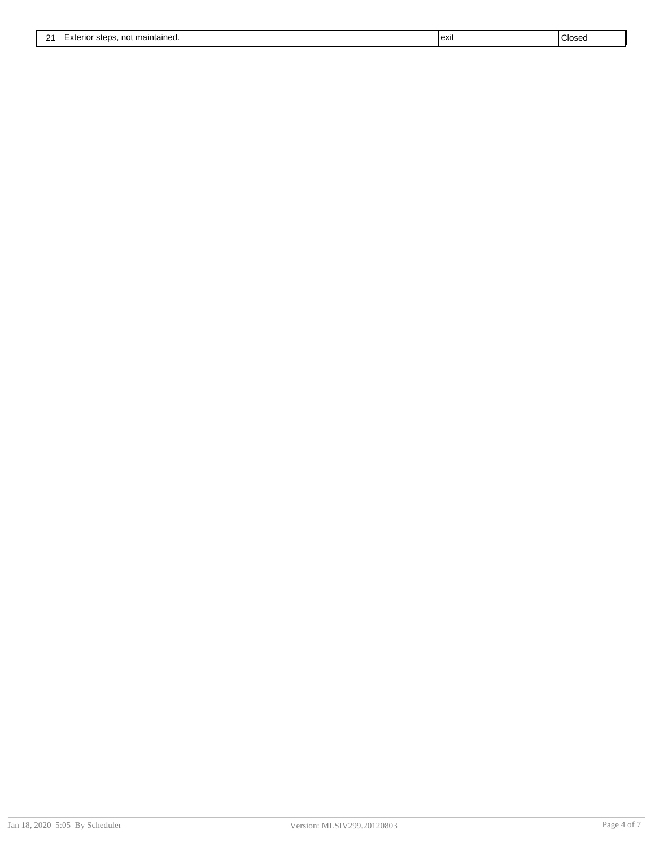| 21<br><u>.</u> | ∩∩t<br>' maintained.<br>$\lambda$<br>יי<br>- 19 | exit | $\sim$<br>Glose <sub>r</sub> |
|----------------|-------------------------------------------------|------|------------------------------|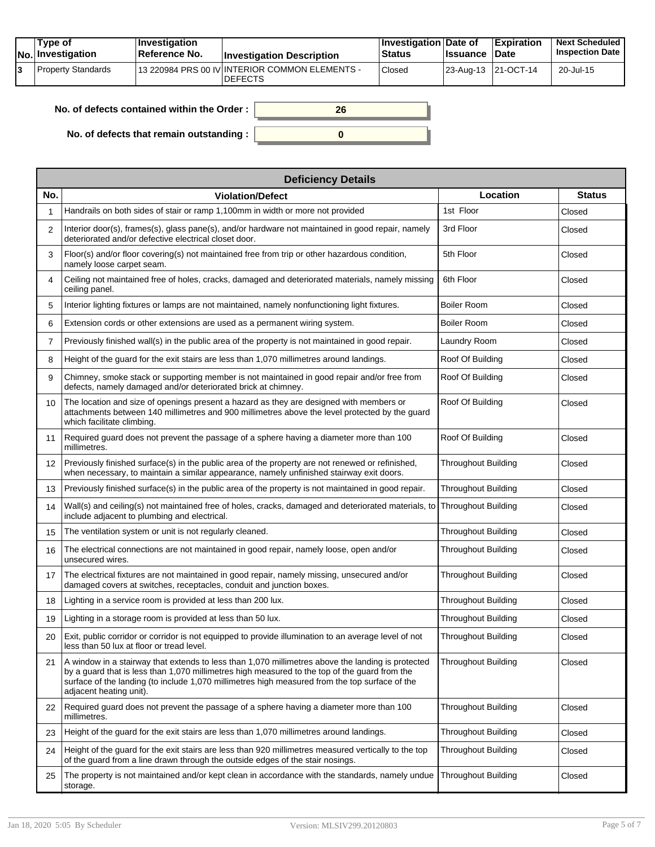|  | Tvpe of<br>$ No $ Investigation | <b>Investigation</b><br><b>∣Reference No.</b> | <b>Investigation Description</b>                                  | <b>Investigation Date of</b><br><b>Status</b> | <b>Issuance Date</b> | <b>Expiration</b>   | <b>Next Scheduled</b><br><b>Inspection Date</b> |
|--|---------------------------------|-----------------------------------------------|-------------------------------------------------------------------|-----------------------------------------------|----------------------|---------------------|-------------------------------------------------|
|  | Property Standards              |                                               | 113 220984 PRS 00 IV INTERIOR COMMON ELEMENTS -<br><b>DEFECTS</b> | Closed                                        |                      | 23-Aug-13 21-OCT-14 | 20-Jul-15                                       |

| No. of defects contained within the Order : $\vert$ | 26 |
|-----------------------------------------------------|----|
| No. of defects that remain outstanding :            |    |

|                   | <b>Deficiency Details</b>                                                                                                                                                                                                                                                                                                       |                            |               |  |  |  |  |  |  |
|-------------------|---------------------------------------------------------------------------------------------------------------------------------------------------------------------------------------------------------------------------------------------------------------------------------------------------------------------------------|----------------------------|---------------|--|--|--|--|--|--|
| No.               | <b>Violation/Defect</b>                                                                                                                                                                                                                                                                                                         | Location                   | <b>Status</b> |  |  |  |  |  |  |
| 1                 | Handrails on both sides of stair or ramp 1,100mm in width or more not provided                                                                                                                                                                                                                                                  | 1st Floor                  | Closed        |  |  |  |  |  |  |
| $\overline{2}$    | Interior door(s), frames(s), glass pane(s), and/or hardware not maintained in good repair, namely<br>deteriorated and/or defective electrical closet door.                                                                                                                                                                      | 3rd Floor                  | Closed        |  |  |  |  |  |  |
| 3                 | Floor(s) and/or floor covering(s) not maintained free from trip or other hazardous condition,<br>namely loose carpet seam.                                                                                                                                                                                                      | 5th Floor                  | Closed        |  |  |  |  |  |  |
| 4                 | Ceiling not maintained free of holes, cracks, damaged and deteriorated materials, namely missing<br>ceiling panel.                                                                                                                                                                                                              | 6th Floor                  | Closed        |  |  |  |  |  |  |
| 5                 | Interior lighting fixtures or lamps are not maintained, namely nonfunctioning light fixtures.                                                                                                                                                                                                                                   | <b>Boiler Room</b>         | Closed        |  |  |  |  |  |  |
| 6                 | Extension cords or other extensions are used as a permanent wiring system.                                                                                                                                                                                                                                                      | Boiler Room                | Closed        |  |  |  |  |  |  |
| $\overline{7}$    | Previously finished wall(s) in the public area of the property is not maintained in good repair.                                                                                                                                                                                                                                | Laundry Room               | Closed        |  |  |  |  |  |  |
| 8                 | Height of the guard for the exit stairs are less than 1,070 millimetres around landings.                                                                                                                                                                                                                                        | Roof Of Building           | Closed        |  |  |  |  |  |  |
| 9                 | Chimney, smoke stack or supporting member is not maintained in good repair and/or free from<br>defects, namely damaged and/or deteriorated brick at chimney.                                                                                                                                                                    | Roof Of Building           | Closed        |  |  |  |  |  |  |
| 10                | The location and size of openings present a hazard as they are designed with members or<br>attachments between 140 millimetres and 900 millimetres above the level protected by the guard<br>which facilitate climbing.                                                                                                         | Roof Of Building           | Closed        |  |  |  |  |  |  |
| 11                | Required guard does not prevent the passage of a sphere having a diameter more than 100<br>millimetres.                                                                                                                                                                                                                         | Roof Of Building           | Closed        |  |  |  |  |  |  |
| $12 \overline{ }$ | Previously finished surface(s) in the public area of the property are not renewed or refinished,<br>when necessary, to maintain a similar appearance, namely unfinished stairway exit doors.                                                                                                                                    | <b>Throughout Building</b> | Closed        |  |  |  |  |  |  |
| 13                | Previously finished surface(s) in the public area of the property is not maintained in good repair.                                                                                                                                                                                                                             | Throughout Building        | Closed        |  |  |  |  |  |  |
| 14                | Wall(s) and ceiling(s) not maintained free of holes, cracks, damaged and deteriorated materials, to<br>include adjacent to plumbing and electrical.                                                                                                                                                                             | <b>Throughout Building</b> | Closed        |  |  |  |  |  |  |
| 15                | The ventilation system or unit is not regularly cleaned.                                                                                                                                                                                                                                                                        | Throughout Building        | Closed        |  |  |  |  |  |  |
| 16                | The electrical connections are not maintained in good repair, namely loose, open and/or<br>unsecured wires.                                                                                                                                                                                                                     | <b>Throughout Building</b> | Closed        |  |  |  |  |  |  |
| 17                | The electrical fixtures are not maintained in good repair, namely missing, unsecured and/or<br>damaged covers at switches, receptacles, conduit and junction boxes.                                                                                                                                                             | Throughout Building        | Closed        |  |  |  |  |  |  |
| 18                | Lighting in a service room is provided at less than 200 lux.                                                                                                                                                                                                                                                                    | <b>Throughout Building</b> | Closed        |  |  |  |  |  |  |
| 19                | Lighting in a storage room is provided at less than 50 lux.                                                                                                                                                                                                                                                                     | <b>Throughout Building</b> | Closed        |  |  |  |  |  |  |
| 20                | Exit, public corridor or corridor is not equipped to provide illumination to an average level of not<br>less than 50 lux at floor or tread level.                                                                                                                                                                               | <b>Throughout Building</b> | Closed        |  |  |  |  |  |  |
| 21                | A window in a stairway that extends to less than 1,070 millimetres above the landing is protected<br>by a guard that is less than 1,070 millimetres high measured to the top of the guard from the<br>surface of the landing (to include 1,070 millimetres high measured from the top surface of the<br>adjacent heating unit). | <b>Throughout Building</b> | Closed        |  |  |  |  |  |  |
| 22                | Required guard does not prevent the passage of a sphere having a diameter more than 100<br>millimetres.                                                                                                                                                                                                                         | <b>Throughout Building</b> | Closed        |  |  |  |  |  |  |
| 23                | Height of the guard for the exit stairs are less than 1,070 millimetres around landings.                                                                                                                                                                                                                                        | Throughout Building        | Closed        |  |  |  |  |  |  |
| 24                | Height of the guard for the exit stairs are less than 920 millimetres measured vertically to the top<br>of the quard from a line drawn through the outside edges of the stair nosings.                                                                                                                                          | <b>Throughout Building</b> | Closed        |  |  |  |  |  |  |
| 25                | The property is not maintained and/or kept clean in accordance with the standards, namely undue<br>storage.                                                                                                                                                                                                                     | <b>Throughout Building</b> | Closed        |  |  |  |  |  |  |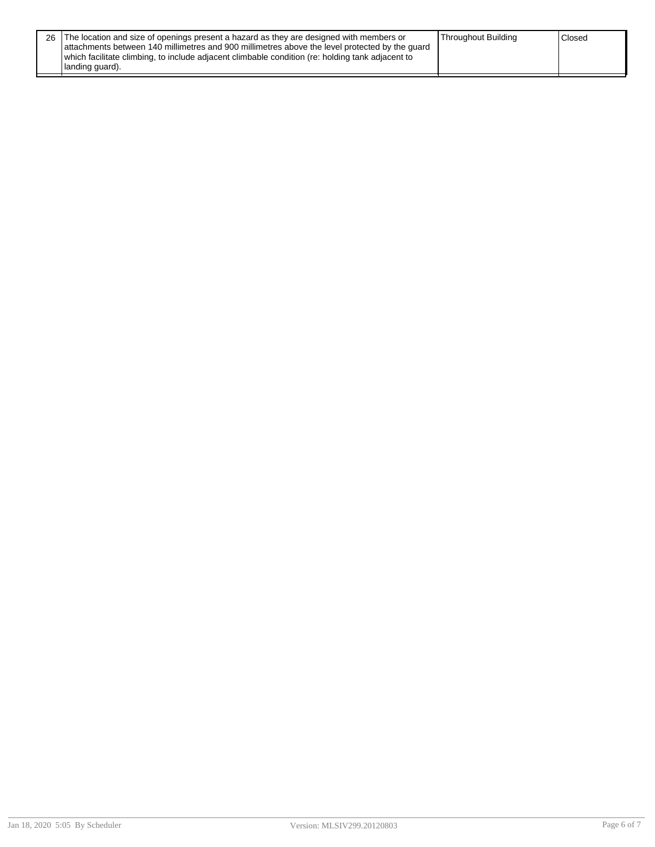| 26 The location and size of openings present a hazard as they are designed with members or       | Throughout Building | <sup>1</sup> Closed |
|--------------------------------------------------------------------------------------------------|---------------------|---------------------|
| attachments between 140 millimetres and 900 millimetres above the level protected by the quard   |                     |                     |
| which facilitate climbing, to include adjacent climbable condition (re: holding tank adjacent to |                     |                     |
| Ianding guard).                                                                                  |                     |                     |
|                                                                                                  |                     |                     |